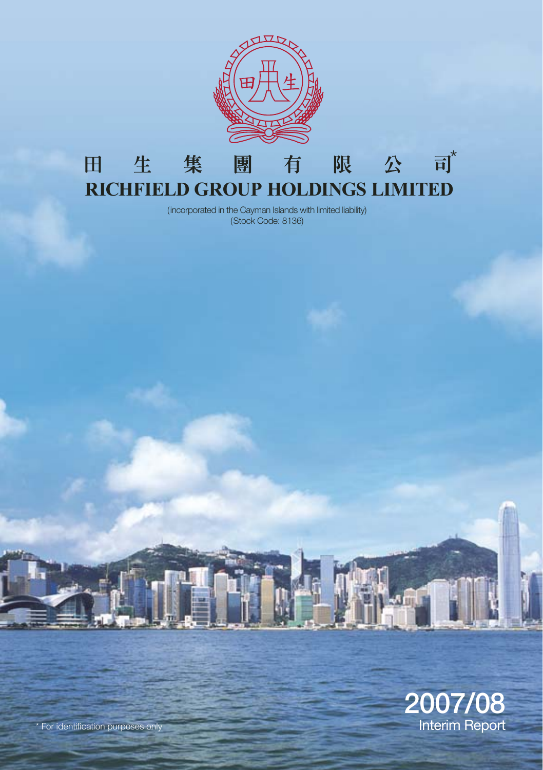

#### 司 $*$ 集 田 生 團 限 公 有 **RICHFIELD GROUP HOLDINGS LIMITED**

(incorporated in the Cayman Islands with limited liability) (Stock Code: 8136)



\* For identification purposes only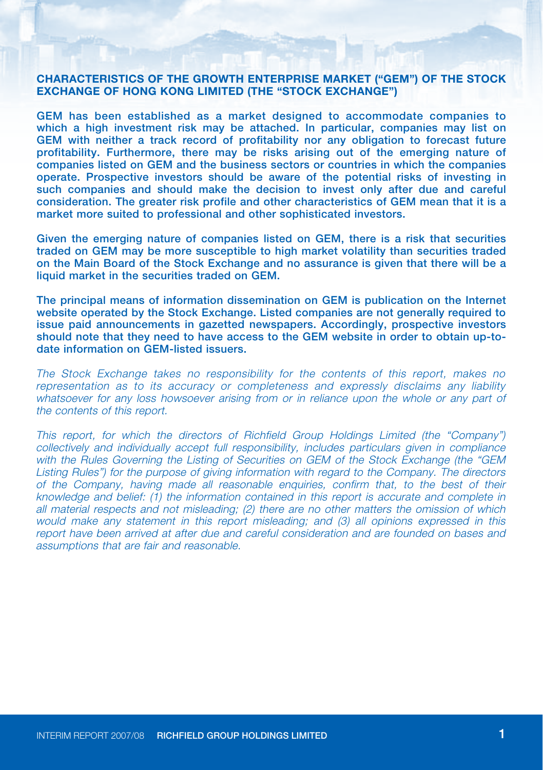#### **CHARACTERISTICS OF THE GROWTH ENTERPRISE MARKET ("GEM") OF THE STOCK EXCHANGE OF HONG KONG LIMITED (THE "STOCK EXCHANGE")**

GEM has been established as a market designed to accommodate companies to which a high investment risk may be attached. In particular, companies may list on GEM with neither a track record of profitability nor any obligation to forecast future profitability. Furthermore, there may be risks arising out of the emerging nature of companies listed on GEM and the business sectors or countries in which the companies operate. Prospective investors should be aware of the potential risks of investing in such companies and should make the decision to invest only after due and careful consideration. The greater risk profile and other characteristics of GEM mean that it is a market more suited to professional and other sophisticated investors.

Given the emerging nature of companies listed on GEM, there is a risk that securities traded on GEM may be more susceptible to high market volatility than securities traded on the Main Board of the Stock Exchange and no assurance is given that there will be a liquid market in the securities traded on GEM.

The principal means of information dissemination on GEM is publication on the Internet website operated by the Stock Exchange. Listed companies are not generally required to issue paid announcements in gazetted newspapers. Accordingly, prospective investors should note that they need to have access to the GEM website in order to obtain up-todate information on GEM-listed issuers.

The Stock Exchange takes no responsibility for the contents of this report, makes no representation as to its accuracy or completeness and expressly disclaims any liability whatsoever for any loss howsoever arising from or in reliance upon the whole or any part of the contents of this report.

This report, for which the directors of Richfield Group Holdings Limited (the "Company") collectively and individually accept full responsibility, includes particulars given in compliance with the Rules Governing the Listing of Securities on GEM of the Stock Exchange (the "GEM Listing Rules") for the purpose of giving information with regard to the Company. The directors of the Company, having made all reasonable enquiries, confirm that, to the best of their knowledge and belief: (1) the information contained in this report is accurate and complete in all material respects and not misleading; (2) there are no other matters the omission of which would make any statement in this report misleading; and (3) all opinions expressed in this report have been arrived at after due and careful consideration and are founded on bases and assumptions that are fair and reasonable.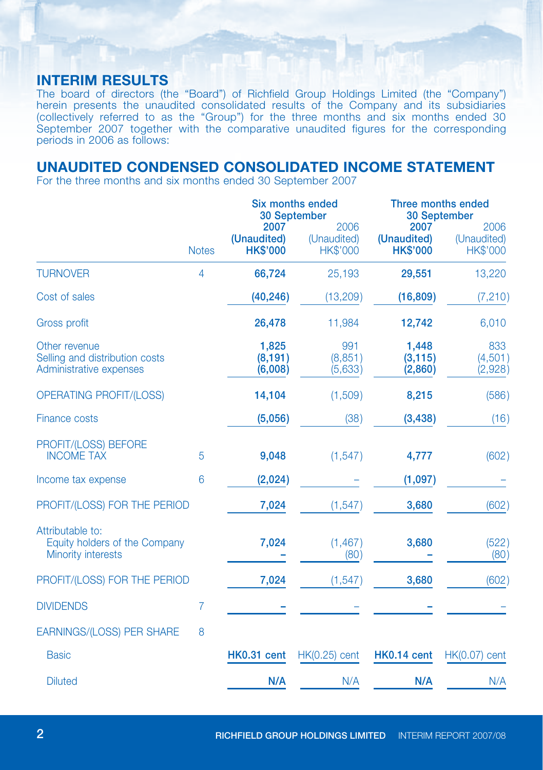## **INTERIM RESULTS**

The board of directors (the "Board") of Richfield Group Holdings Limited (the "Company") herein presents the unaudited consolidated results of the Company and its subsidiaries (collectively referred to as the "Group") for the three months and six months ended 30 September 2007 together with the comparative unaudited figures for the corresponding periods in 2006 as follows:

## **UNAUDITED CONDENSED CONSOLIDATED INCOME STATEMENT**

For the three months and six months ended 30 September 2007

|                                                                            |              |                                        | Six months ended<br>30 September       |                                        | Three months ended<br>30 September     |
|----------------------------------------------------------------------------|--------------|----------------------------------------|----------------------------------------|----------------------------------------|----------------------------------------|
|                                                                            | <b>Notes</b> | 2007<br>(Unaudited)<br><b>HK\$'000</b> | 2006<br>(Unaudited)<br><b>HK\$'000</b> | 2007<br>(Unaudited)<br><b>HK\$'000</b> | 2006<br>(Unaudited)<br><b>HK\$'000</b> |
| <b>TURNOVER</b>                                                            | 4            | 66,724                                 | 25,193                                 | 29,551                                 | 13,220                                 |
| Cost of sales                                                              |              | (40, 246)                              | (13, 209)                              | (16, 809)                              | (7, 210)                               |
| <b>Gross profit</b>                                                        |              | 26,478                                 | 11,984                                 | 12,742                                 | 6,010                                  |
| Other revenue<br>Selling and distribution costs<br>Administrative expenses |              | 1,825<br>(8, 191)<br>(6,008)           | 991<br>(8,851)<br>(5,633)              | 1,448<br>(3, 115)<br>(2,860)           | 833<br>(4,501)<br>(2,928)              |
| <b>OPERATING PROFIT/(LOSS)</b>                                             |              | 14,104                                 | (1,509)                                | 8,215                                  | (586)                                  |
| <b>Finance costs</b>                                                       |              | (5,056)                                | (38)                                   | (3, 438)                               | (16)                                   |
| PROFIT/(LOSS) BEFORE<br><b>INCOME TAX</b>                                  | 5            | 9,048                                  | (1, 547)                               | 4,777                                  | (602)                                  |
| Income tax expense                                                         | 6            | (2,024)                                |                                        | (1,097)                                |                                        |
| PROFIT/(LOSS) FOR THE PERIOD                                               |              | 7,024                                  | (1, 547)                               | 3,680                                  | (602)                                  |
| Attributable to:<br>Equity holders of the Company<br>Minority interests    |              | 7,024                                  | (1, 467)<br>(80)                       | 3,680                                  | (522)<br>(80)                          |
| PROFIT/(LOSS) FOR THE PERIOD                                               |              | 7,024                                  | (1, 547)                               | 3,680                                  | (602)                                  |
| <b>DIVIDENDS</b>                                                           | 7            |                                        |                                        |                                        |                                        |
| <b>EARNINGS/(LOSS) PER SHARE</b>                                           | 8            |                                        |                                        |                                        |                                        |
| <b>Basic</b>                                                               |              | HK0.31 cent                            | $HK(0.25)$ cent                        | HK0.14 cent                            | HK(0.07) cent                          |
| <b>Diluted</b>                                                             |              | N/A                                    | N/A                                    | N/A                                    | N/A                                    |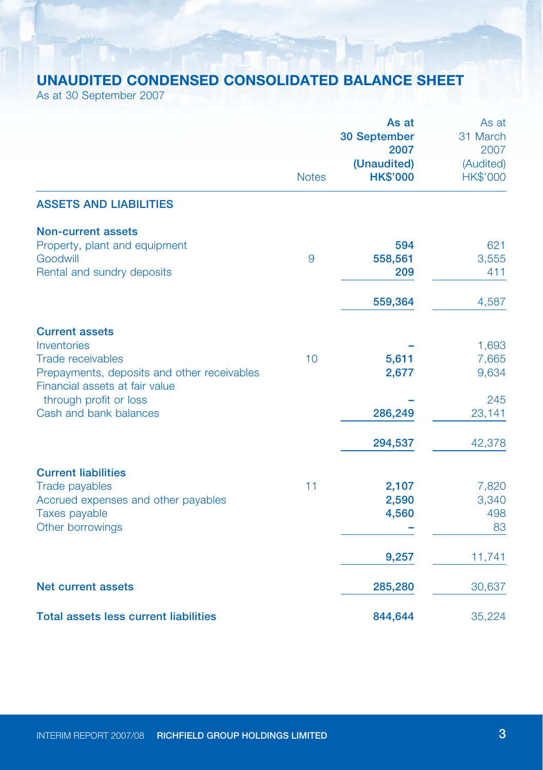# **UNAUDITED CONDENSED CONSOLIDATED BALANCE SHEET**

As at 30 September 2007

|                                                                               |              | As at                          | As at                 |
|-------------------------------------------------------------------------------|--------------|--------------------------------|-----------------------|
|                                                                               |              | <b>30 September</b>            | 31 March              |
|                                                                               |              | 2007                           | 2007                  |
|                                                                               | <b>Notes</b> | (Unaudited)<br><b>HK\$'000</b> | (Audited)<br>HK\$'000 |
| <b>ASSETS AND LIABILITIES</b>                                                 |              |                                |                       |
| Non-current assets                                                            |              |                                |                       |
| Property, plant and equipment                                                 |              | 594                            | 621                   |
| Goodwill                                                                      | 9            | 558,561                        | 3,555                 |
| Rental and sundry deposits                                                    |              | 209                            | 411                   |
|                                                                               |              | 559,364                        | 4,587                 |
| <b>Current assets</b>                                                         |              |                                |                       |
| Inventories                                                                   |              |                                | 1,693                 |
| <b>Trade receivables</b>                                                      | 10           | 5,611                          | 7,665                 |
| Prepayments, deposits and other receivables<br>Financial assets at fair value |              | 2,677                          | 9,634                 |
| through profit or loss                                                        |              |                                | 245                   |
| Cash and bank balances                                                        |              | 286,249                        | 23,141                |
|                                                                               |              | 294,537                        | 42,378                |
| <b>Current liabilities</b>                                                    |              |                                |                       |
| Trade payables                                                                | 11           | 2,107                          | 7,820                 |
| Accrued expenses and other payables                                           |              | 2,590                          | 3,340                 |
| Taxes payable                                                                 |              | 4,560                          | 498                   |
| Other borrowings                                                              |              |                                | 83                    |
|                                                                               |              | 9,257                          | 11,741                |
| Net current assets                                                            |              | 285,280                        | 30,637                |
| <b>Total assets less current liabilities</b>                                  |              | 844,644                        | 35,224                |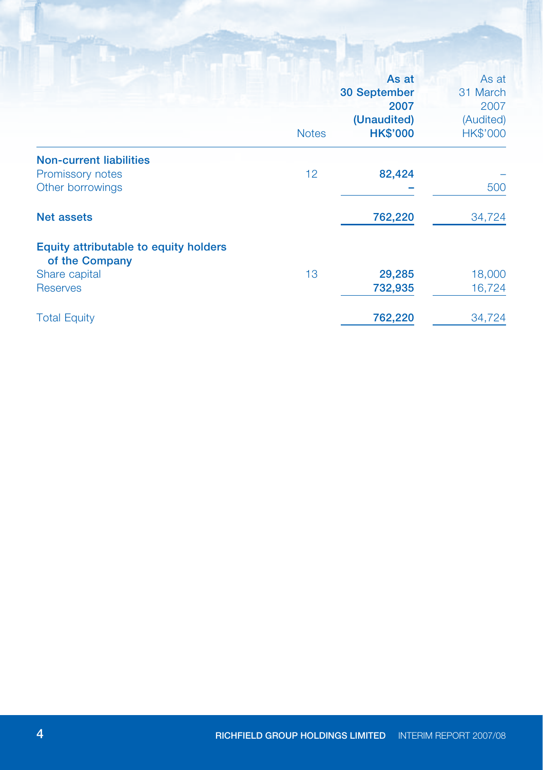|                                       |              | As at                          | As at                        |
|---------------------------------------|--------------|--------------------------------|------------------------------|
|                                       |              | <b>30 September</b>            | 31 March                     |
|                                       |              | 2007                           | 2007                         |
|                                       | <b>Notes</b> | (Unaudited)<br><b>HK\$'000</b> | (Audited)<br><b>HK\$'000</b> |
| <b>Non-current liabilities</b>        |              |                                |                              |
| Promissory notes                      | 12           | 82,424                         |                              |
| Other borrowings                      |              |                                | 500                          |
| <b>Net assets</b>                     |              | 762,220                        | 34,724                       |
| Equity attributable to equity holders |              |                                |                              |
| of the Company                        |              |                                |                              |
| Share capital                         | 13           | 29,285                         | 18,000                       |
| <b>Reserves</b>                       |              | 732,935                        | 16,724                       |
| <b>Total Equity</b>                   |              | 762,220                        | 34,724                       |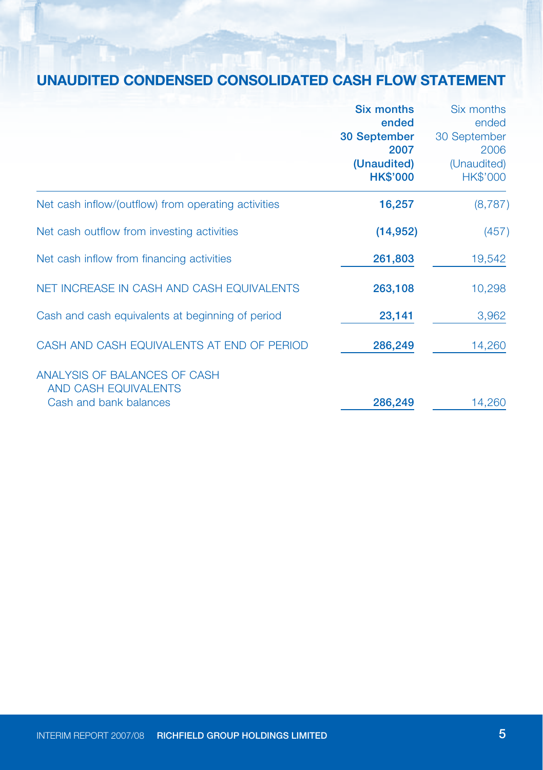# **UNAUDITED CONDENSED CONSOLIDATED CASH FLOW STATEMENT**

|                                                                                | <b>Six months</b><br>ended                             | Six months<br>ended                                    |
|--------------------------------------------------------------------------------|--------------------------------------------------------|--------------------------------------------------------|
|                                                                                | 30 September<br>2007<br>(Unaudited)<br><b>HK\$'000</b> | 30 September<br>2006<br>(Unaudited)<br><b>HK\$'000</b> |
| Net cash inflow/(outflow) from operating activities                            | 16,257                                                 | (8,787)                                                |
| Net cash outflow from investing activities                                     | (14, 952)                                              | (457)                                                  |
| Net cash inflow from financing activities                                      | 261,803                                                | 19,542                                                 |
| NET INCREASE IN CASH AND CASH EQUIVALENTS                                      | 263,108                                                | 10,298                                                 |
| Cash and cash equivalents at beginning of period                               | 23,141                                                 | 3,962                                                  |
| CASH AND CASH EQUIVALENTS AT END OF PERIOD                                     | 286,249                                                | 14,260                                                 |
| ANALYSIS OF BALANCES OF CASH<br>AND CASH EQUIVALENTS<br>Cash and bank balances | 286,249                                                | 14,260                                                 |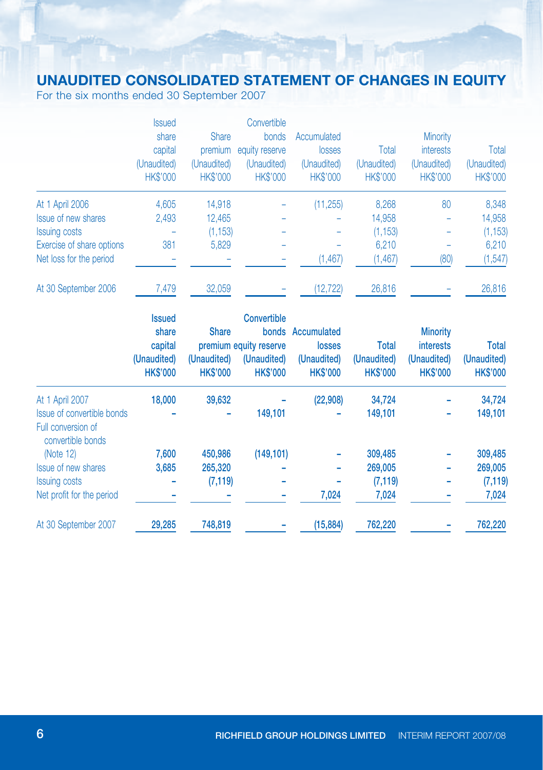## **UNAUDITED CONSOLIDATED STATEMENT OF CHANGES IN EQUITY**

For the six months ended 30 September 2007

|                           | <b>Issued</b>   |                 | Convertible     |                 |                 |                  |                 |
|---------------------------|-----------------|-----------------|-----------------|-----------------|-----------------|------------------|-----------------|
|                           | share           | <b>Share</b>    | bonds           | Accumulated     |                 | <b>Minority</b>  |                 |
|                           | capital         | premium         | equity reserve  | losses          | Total           | <b>interests</b> | Total           |
|                           | (Unaudited)     | (Unaudited)     | (Unaudited)     | (Unaudited)     | (Unaudited)     | (Unaudited)      | (Unaudited)     |
|                           | <b>HK\$'000</b> | <b>HK\$'000</b> | <b>HK\$'000</b> | <b>HK\$'000</b> | <b>HK\$'000</b> | <b>HK\$'000</b>  | <b>HK\$'000</b> |
| At 1 April 2006           | 4.605           | 14.918          |                 | (11, 255)       | 8,268           | 80               | 8,348           |
| Issue of new shares       | 2,493           | 12,465          |                 |                 | 14,958          |                  | 14,958          |
| <b>Issuing costs</b>      |                 | (1, 153)        |                 |                 | (1, 153)        |                  | (1, 153)        |
| Exercise of share options | 381             | 5,829           |                 |                 | 6.210           |                  | 6,210           |
| Net loss for the period   |                 |                 |                 | (1, 467)        | (1, 467)        | (80)             | (1, 547)        |
| At 30 September 2006      | 7,479           | 32,059          |                 | (12, 722)       | 26,816          |                  | 26,816          |

|                                         | <b>Issued</b>   |                 | <b>Convertible</b>     |                 |                 |                 |                 |
|-----------------------------------------|-----------------|-----------------|------------------------|-----------------|-----------------|-----------------|-----------------|
|                                         | share           | <b>Share</b>    | bonds                  | Accumulated     |                 | <b>Minority</b> |                 |
|                                         | capital         |                 | premium equity reserve | losses          | Total           | interests       | <b>Total</b>    |
|                                         | (Unaudited)     | (Unaudited)     | (Unaudited)            | (Unaudited)     | (Unaudited)     | (Unaudited)     | (Unaudited)     |
|                                         | <b>HK\$'000</b> | <b>HK\$'000</b> | <b>HK\$'000</b>        | <b>HK\$'000</b> | <b>HK\$'000</b> | <b>HK\$'000</b> | <b>HK\$'000</b> |
| At 1 April 2007                         | 18,000          | 39,632          |                        | (22,908)        | 34,724          |                 | 34,724          |
| Issue of convertible bonds              |                 |                 | 149,101                |                 | 149,101         |                 | 149,101         |
| Full conversion of<br>convertible bonds |                 |                 |                        |                 |                 |                 |                 |
| (Note $12$ )                            | 7,600           | 450,986         | (149, 101)             |                 | 309,485         |                 | 309,485         |
| <b>Issue of new shares</b>              | 3,685           | 265,320         |                        |                 | 269,005         |                 | 269,005         |
| <b>Issuing costs</b>                    |                 | (7, 119)        | -                      |                 | (7, 119)        |                 | (7, 119)        |
| Net profit for the period               |                 |                 |                        | 7,024           | 7,024           |                 | 7,024           |
| At 30 September 2007                    | 29,285          | 748,819         |                        | (15, 884)       | 762,220         |                 | 762,220         |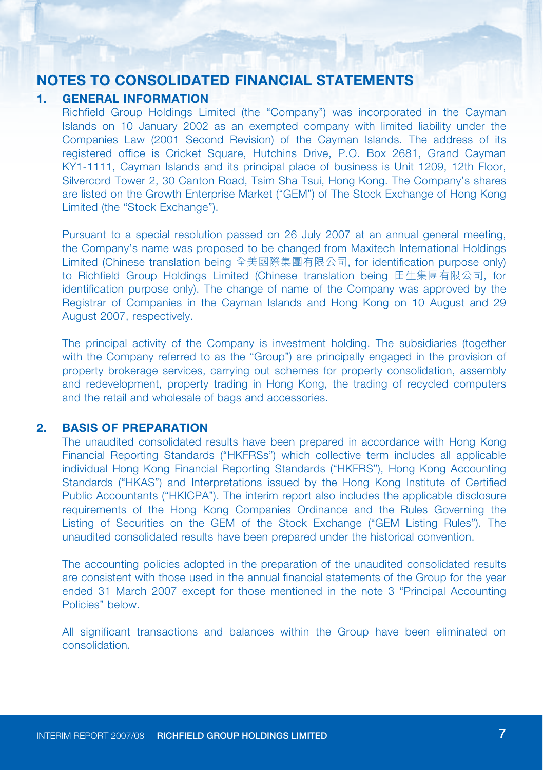### **NOTES TO CONSOLIDATED FINANCIAL STATEMENTS**

#### **1. GENERAL INFORMATION**

Richfield Group Holdings Limited (the "Company") was incorporated in the Cayman Islands on 10 January 2002 as an exempted company with limited liability under the Companies Law (2001 Second Revision) of the Cayman Islands. The address of its registered office is Cricket Square, Hutchins Drive, P.O. Box 2681, Grand Cayman KY1-1111, Cayman Islands and its principal place of business is Unit 1209, 12th Floor, Silvercord Tower 2, 30 Canton Road, Tsim Sha Tsui, Hong Kong. The Company's shares are listed on the Growth Enterprise Market ("GEM") of The Stock Exchange of Hong Kong Limited (the "Stock Exchange").

Pursuant to a special resolution passed on 26 July 2007 at an annual general meeting, the Company's name was proposed to be changed from Maxitech International Holdings Limited (Chinese translation being 全美國際集團有限公司, for identification purpose only) to Richfield Group Holdings Limited (Chinese translation being 田生集團有限公司, for identification purpose only). The change of name of the Company was approved by the Registrar of Companies in the Cayman Islands and Hong Kong on 10 August and 29 August 2007, respectively.

The principal activity of the Company is investment holding. The subsidiaries (together with the Company referred to as the "Group") are principally engaged in the provision of property brokerage services, carrying out schemes for property consolidation, assembly and redevelopment, property trading in Hong Kong, the trading of recycled computers and the retail and wholesale of bags and accessories.

#### **2. BASIS OF PREPARATION**

The unaudited consolidated results have been prepared in accordance with Hong Kong Financial Reporting Standards ("HKFRSs") which collective term includes all applicable individual Hong Kong Financial Reporting Standards ("HKFRS"), Hong Kong Accounting Standards ("HKAS") and Interpretations issued by the Hong Kong Institute of Certified Public Accountants ("HKICPA"). The interim report also includes the applicable disclosure requirements of the Hong Kong Companies Ordinance and the Rules Governing the Listing of Securities on the GEM of the Stock Exchange ("GEM Listing Rules"). The unaudited consolidated results have been prepared under the historical convention.

The accounting policies adopted in the preparation of the unaudited consolidated results are consistent with those used in the annual financial statements of the Group for the year ended 31 March 2007 except for those mentioned in the note 3 "Principal Accounting Policies" below.

All significant transactions and balances within the Group have been eliminated on consolidation.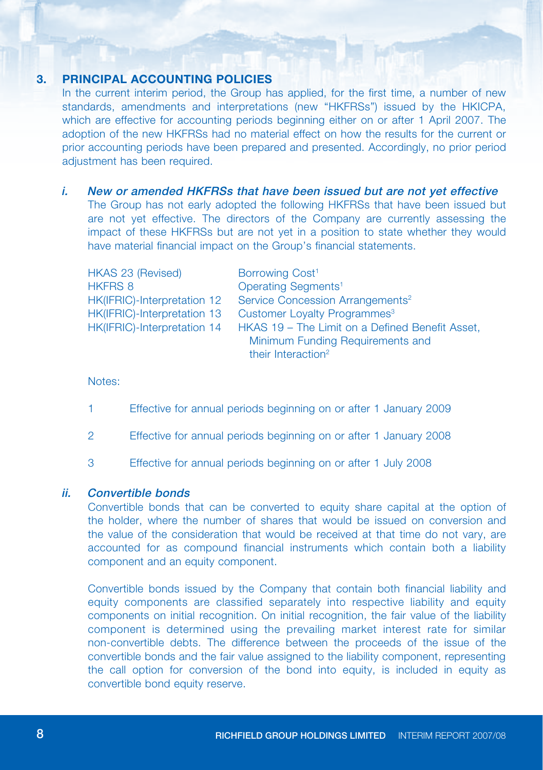### **3. PRINCIPAL ACCOUNTING POLICIES**

In the current interim period, the Group has applied, for the first time, a number of new standards, amendments and interpretations (new "HKFRSs") issued by the HKICPA, which are effective for accounting periods beginning either on or after 1 April 2007. The adoption of the new HKFRSs had no material effect on how the results for the current or prior accounting periods have been prepared and presented. Accordingly, no prior period adjustment has been required.

#### i. New or amended HKFRSs that have been issued but are not yet effective

The Group has not early adopted the following HKFRSs that have been issued but are not yet effective. The directors of the Company are currently assessing the impact of these HKFRSs but are not yet in a position to state whether they would have material financial impact on the Group's financial statements.

| <b>HKAS 23 (Revised)</b>    | Borrowing Cost <sup>1</sup>                     |
|-----------------------------|-------------------------------------------------|
| <b>HKFRS 8</b>              | Operating Segments <sup>1</sup>                 |
| HK(IFRIC)-Interpretation 12 | Service Concession Arrangements <sup>2</sup>    |
| HK(IFRIC)-Interpretation 13 | Customer Loyalty Programmes <sup>3</sup>        |
| HK(IFRIC)-Interpretation 14 | HKAS 19 - The Limit on a Defined Benefit Asset, |
|                             | Minimum Funding Requirements and                |
|                             | their Interaction <sup>2</sup>                  |

Notes:

- 1 Effective for annual periods beginning on or after 1 January 2009
- 2 Effective for annual periods beginning on or after 1 January 2008
- 3 Effective for annual periods beginning on or after 1 July 2008

#### ii. Convertible bonds

Convertible bonds that can be converted to equity share capital at the option of the holder, where the number of shares that would be issued on conversion and the value of the consideration that would be received at that time do not vary, are accounted for as compound financial instruments which contain both a liability component and an equity component.

Convertible bonds issued by the Company that contain both financial liability and equity components are classified separately into respective liability and equity components on initial recognition. On initial recognition, the fair value of the liability component is determined using the prevailing market interest rate for similar non-convertible debts. The difference between the proceeds of the issue of the convertible bonds and the fair value assigned to the liability component, representing the call option for conversion of the bond into equity, is included in equity as convertible bond equity reserve.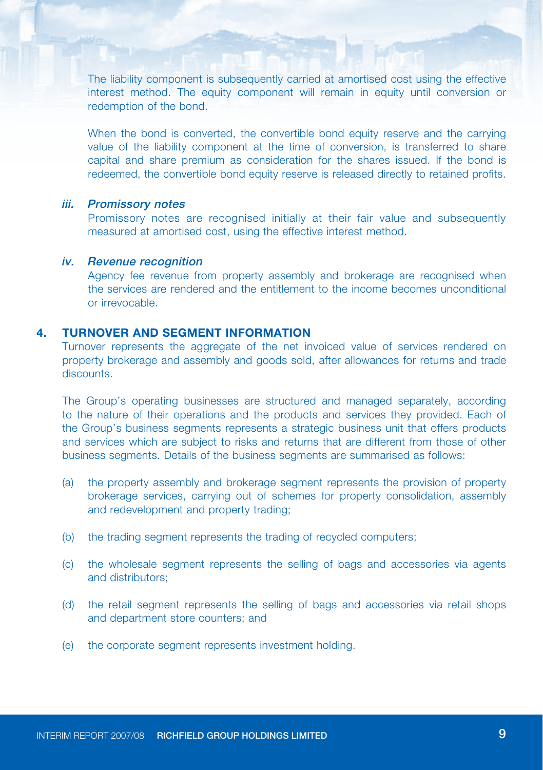The liability component is subsequently carried at amortised cost using the effective interest method. The equity component will remain in equity until conversion or redemption of the bond.

When the bond is converted, the convertible bond equity reserve and the carrying value of the liability component at the time of conversion, is transferred to share capital and share premium as consideration for the shares issued. If the bond is redeemed, the convertible bond equity reserve is released directly to retained profits.

#### iii. Promissory notes

Promissory notes are recognised initially at their fair value and subsequently measured at amortised cost, using the effective interest method.

#### iv. Revenue recognition

Agency fee revenue from property assembly and brokerage are recognised when the services are rendered and the entitlement to the income becomes unconditional or irrevocable.

#### **4. TURNOVER AND SEGMENT INFORMATION**

Turnover represents the aggregate of the net invoiced value of services rendered on property brokerage and assembly and goods sold, after allowances for returns and trade discounts.

The Group's operating businesses are structured and managed separately, according to the nature of their operations and the products and services they provided. Each of the Group's business segments represents a strategic business unit that offers products and services which are subject to risks and returns that are different from those of other business segments. Details of the business segments are summarised as follows:

- (a) the property assembly and brokerage segment represents the provision of property brokerage services, carrying out of schemes for property consolidation, assembly and redevelopment and property trading;
- (b) the trading segment represents the trading of recycled computers;
- (c) the wholesale segment represents the selling of bags and accessories via agents and distributors;
- (d) the retail segment represents the selling of bags and accessories via retail shops and department store counters; and
- (e) the corporate segment represents investment holding.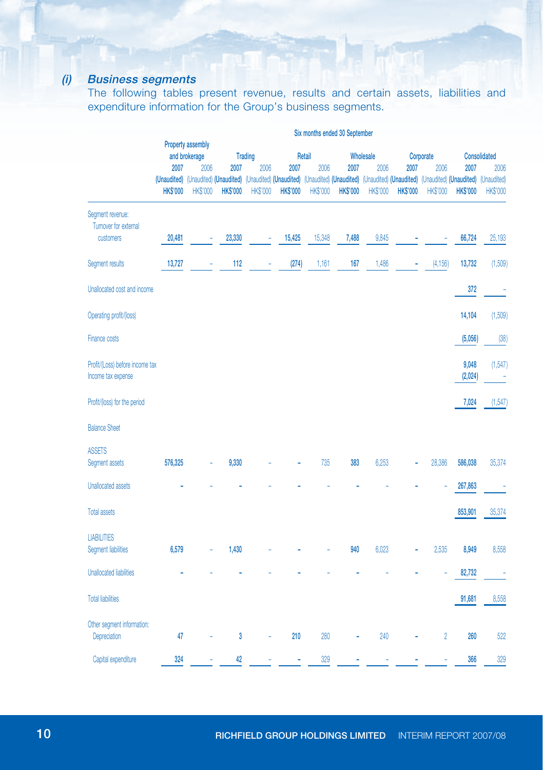## (i) Business segments

The following tables present revenue, results and certain assets, liabilities and expenditure information for the Group's business segments.

|                                                        | Six months ended 30 September                                     |                                                                                                                                                                                |                 |                 |                        |                 |                 |                 |                 |                           |                  |                              |  |
|--------------------------------------------------------|-------------------------------------------------------------------|--------------------------------------------------------------------------------------------------------------------------------------------------------------------------------|-----------------|-----------------|------------------------|-----------------|-----------------|-----------------|-----------------|---------------------------|------------------|------------------------------|--|
|                                                        | Property assembly<br><b>Trading</b><br>and brokerage<br>Wholesale |                                                                                                                                                                                |                 |                 |                        |                 |                 |                 |                 |                           |                  |                              |  |
|                                                        | 2007                                                              | 2006                                                                                                                                                                           | 2007            | 2006            | Retail<br>2007<br>2006 |                 | 2007            | 2006            |                 | Corporate<br>2006<br>2007 |                  | Consolidated<br>2007<br>2006 |  |
|                                                        | <b>HK\$'000</b>                                                   | (Unaudited) (Unaudited) (Unaudited) (Unaudited) (Unaudited) (Unaudited) (Unaudited) (Unaudited) (Unaudited) (Unaudited) (Unaudited) (Unaudited) (Unaudited)<br><b>HK\$'000</b> | <b>HK\$'000</b> | <b>HK\$'000</b> | <b>HK\$'000</b>        | <b>HK\$'000</b> | <b>HK\$'000</b> | <b>HK\$'000</b> | <b>HK\$'000</b> | <b>HK\$'000</b>           | <b>HKS'000</b>   | <b>HK\$'000</b>              |  |
| Segment revenue:<br>Turnover for external<br>customers | 20,481                                                            |                                                                                                                                                                                | 23,330          |                 | 15,425                 | 15,348          | 7,488           | 9,845           |                 |                           | 66,724           | 25,193                       |  |
|                                                        |                                                                   |                                                                                                                                                                                |                 | ÷               |                        |                 |                 |                 |                 |                           |                  |                              |  |
| Segment results                                        | 13,727                                                            |                                                                                                                                                                                | 112             |                 | (274)                  | 1,161           | 167             | 1,486           |                 | (4, 156)                  | 13,732           | (1,509)                      |  |
| Unallocated cost and income                            |                                                                   |                                                                                                                                                                                |                 |                 |                        |                 |                 |                 |                 |                           | 372              | - 1                          |  |
| Operating profit/(loss)                                |                                                                   |                                                                                                                                                                                |                 |                 |                        |                 |                 |                 |                 |                           | 14,104           | (1,509)                      |  |
| <b>Finance costs</b>                                   |                                                                   |                                                                                                                                                                                |                 |                 |                        |                 |                 |                 |                 |                           | (5,056)          | (38)                         |  |
| Profit/(Loss) before income tax<br>Income tax expense  |                                                                   |                                                                                                                                                                                |                 |                 |                        |                 |                 |                 |                 |                           | 9,048<br>(2,024) | (1, 547)<br>Î,               |  |
| Profit/(loss) for the period                           |                                                                   |                                                                                                                                                                                |                 |                 |                        |                 |                 |                 |                 |                           | 7,024            | (1,547)                      |  |
| <b>Balance Sheet</b>                                   |                                                                   |                                                                                                                                                                                |                 |                 |                        |                 |                 |                 |                 |                           |                  |                              |  |
| <b>ASSETS</b><br>Segment assets                        | 576,325                                                           |                                                                                                                                                                                | 9,330           |                 |                        | 735             | 383             | 6,253           |                 | 28,386                    | 586,038          | 35,374                       |  |
| <b>Unallocated assets</b>                              |                                                                   |                                                                                                                                                                                |                 |                 |                        |                 |                 |                 |                 |                           | 267,863          |                              |  |
| <b>Total assets</b>                                    |                                                                   |                                                                                                                                                                                |                 |                 |                        |                 |                 |                 |                 |                           | 853,901          | 35,374                       |  |
| <b>LIABILITIES</b><br><b>Segment liabilities</b>       | 6,579                                                             |                                                                                                                                                                                | 1,430           |                 |                        |                 | 940             | 6,023           |                 | 2,535                     | 8,949            | 8,558                        |  |
| <b>Unallocated liabilities</b>                         |                                                                   |                                                                                                                                                                                |                 |                 |                        |                 |                 |                 |                 |                           | 82,732           |                              |  |
| <b>Total liabilities</b>                               |                                                                   |                                                                                                                                                                                |                 |                 |                        |                 |                 |                 |                 |                           | 91,681           | 8,558                        |  |
| Other segment information:<br>Depreciation             | 47                                                                |                                                                                                                                                                                | 3               |                 | 210                    | 280             |                 | 240             |                 | $\overline{2}$            | 260              | 522                          |  |
| Capital expenditure                                    | 324                                                               |                                                                                                                                                                                | 42              |                 |                        | 329             |                 |                 |                 |                           | 366              | 329                          |  |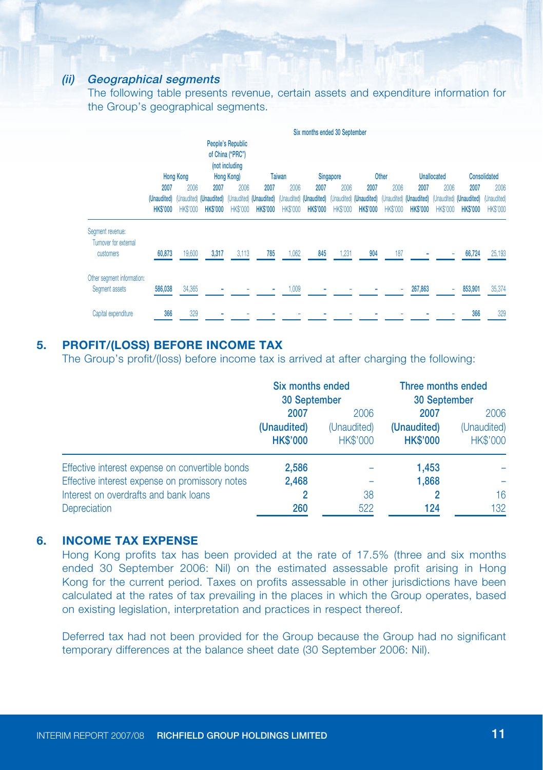#### (ii) Geographical segments

The following table presents revenue, certain assets and expenditure information for the Group's geographical segments.

|                                                        | Six months ended 30 September                                                                                                                          |                         |                        |                         |                        |                         |                         |                         |                         |                         |                         |                         |                                                                                                                                                                                                                |                         |
|--------------------------------------------------------|--------------------------------------------------------------------------------------------------------------------------------------------------------|-------------------------|------------------------|-------------------------|------------------------|-------------------------|-------------------------|-------------------------|-------------------------|-------------------------|-------------------------|-------------------------|----------------------------------------------------------------------------------------------------------------------------------------------------------------------------------------------------------------|-------------------------|
|                                                        | People's Republic<br>of China ("PRC")<br>(not including<br>Hong Kong)<br><b>Hong Kong</b><br>Other<br><b>Unallocated</b><br><b>Taiwan</b><br>Singapore |                         |                        |                         |                        |                         |                         |                         |                         | Consolidated            |                         |                         |                                                                                                                                                                                                                |                         |
|                                                        | 2007<br><b>HKS'000</b>                                                                                                                                 | 2006<br><b>HK\$'000</b> | 2007<br><b>HKS'000</b> | 2006<br><b>HK\$'000</b> | 2007<br><b>HKS'000</b> | 2006<br><b>HK\$'000</b> | 2007<br><b>HK\$'000</b> | 2006<br><b>HK\$'000</b> | 2007<br><b>HK\$'000</b> | 2006<br><b>HK\$'000</b> | 2007<br><b>HK\$'000</b> | 2006<br><b>HK\$'000</b> | 2007<br>(Unaudited) (Unaudited) (Unaudited) (Unaudited) (Unaudited) (Unaudited) (Unaudited) (Unaudited) (Unaudited) (Unaudited) (Unaudited) (Unaudited) (Unaudited) (Unaudited) (Unaudited)<br><b>HK\$'000</b> | 2006<br><b>HK\$'000</b> |
| Segment revenue:<br>Turnover for external<br>customers | 60,873                                                                                                                                                 | 19,600                  | 3,317                  | 3,113                   | 785                    | 1,062                   | 845                     | 1,231                   | 904                     | 187                     |                         |                         | 66,724                                                                                                                                                                                                         | 25,193                  |
| Other segment information:<br>Segment assets           | 586,038                                                                                                                                                | 34,365                  |                        |                         |                        | 1.009                   |                         |                         |                         |                         | 267,863                 |                         | 853,901                                                                                                                                                                                                        | 35,374                  |
| Capital expenditure                                    | 366                                                                                                                                                    | 329                     |                        |                         |                        |                         |                         |                         |                         |                         |                         |                         | 366                                                                                                                                                                                                            | 329                     |

### **5. PROFIT/(LOSS) BEFORE INCOME TAX**

The Group's profit/(loss) before income tax is arrived at after charging the following:

|                                                                                                                                                                   | Six months ended<br>30 September       |                                        | Three months ended<br>30 September     |                                        |  |
|-------------------------------------------------------------------------------------------------------------------------------------------------------------------|----------------------------------------|----------------------------------------|----------------------------------------|----------------------------------------|--|
|                                                                                                                                                                   | 2007<br>(Unaudited)<br><b>HK\$'000</b> | 2006<br>(Unaudited)<br><b>HK\$'000</b> | 2007<br>(Unaudited)<br><b>HK\$'000</b> | 2006<br>(Unaudited)<br><b>HK\$'000</b> |  |
| Effective interest expense on convertible bonds<br>Effective interest expense on promissory notes<br>Interest on overdrafts and bank loans<br><b>Depreciation</b> | 2,586<br>2,468<br>260                  | 38<br>522                              | 1,453<br>1,868<br>124                  | 16<br>132                              |  |

## **6. INCOME TAX EXPENSE**

Hong Kong profits tax has been provided at the rate of 17.5% (three and six months ended 30 September 2006: Nil) on the estimated assessable profit arising in Hong Kong for the current period. Taxes on profits assessable in other jurisdictions have been calculated at the rates of tax prevailing in the places in which the Group operates, based on existing legislation, interpretation and practices in respect thereof.

Deferred tax had not been provided for the Group because the Group had no significant temporary differences at the balance sheet date (30 September 2006: Nil).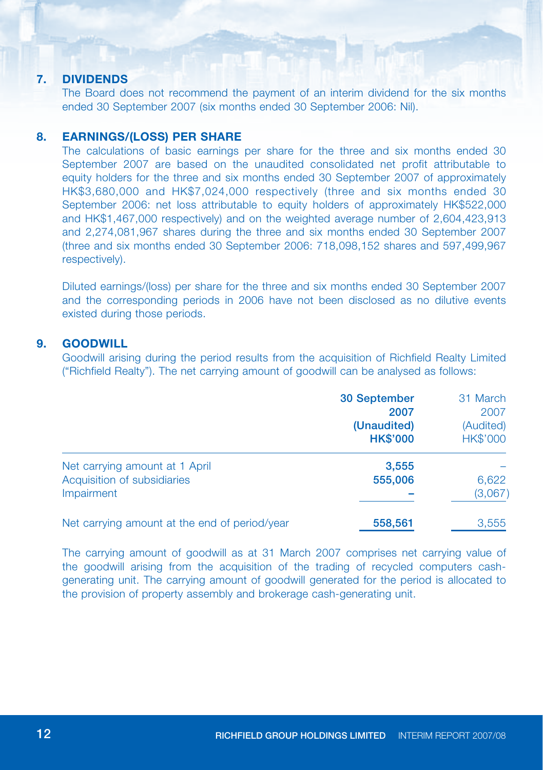#### **7. DIVIDENDS**

The Board does not recommend the payment of an interim dividend for the six months ended 30 September 2007 (six months ended 30 September 2006: Nil).

#### **8. EARNINGS/(LOSS) PER SHARE**

The calculations of basic earnings per share for the three and six months ended 30 September 2007 are based on the unaudited consolidated net profit attributable to equity holders for the three and six months ended 30 September 2007 of approximately HK\$3,680,000 and HK\$7,024,000 respectively (three and six months ended 30 September 2006; net loss attributable to equity holders of approximately HK\$522,000 and HK\$1,467,000 respectively) and on the weighted average number of 2,604,423,913 and 2,274,081,967 shares during the three and six months ended 30 September 2007 (three and six months ended 30 September 2006: 718,098,152 shares and 597,499,967 respectively).

Diluted earnings/(loss) per share for the three and six months ended 30 September 2007 and the corresponding periods in 2006 have not been disclosed as no dilutive events existed during those periods.

#### **9. Goodwill**

Goodwill arising during the period results from the acquisition of Richfield Realty Limited ("Richfield Realty"). The net carrying amount of goodwill can be analysed as follows:

|                                               | <b>30 September</b> | 31 March  |
|-----------------------------------------------|---------------------|-----------|
|                                               | 2007                | 2007      |
|                                               | (Unaudited)         | (Audited) |
|                                               | <b>HK\$'000</b>     | HK\$'000  |
| Net carrying amount at 1 April                | 3,555               |           |
| Acquisition of subsidiaries                   | 555,006             | 6,622     |
| Impairment                                    |                     | (3,067)   |
| Net carrying amount at the end of period/year | 558,561             | 3,555     |

The carrying amount of goodwill as at 31 March 2007 comprises net carrying value of the goodwill arising from the acquisition of the trading of recycled computers cashgenerating unit. The carrying amount of goodwill generated for the period is allocated to the provision of property assembly and brokerage cash-generating unit.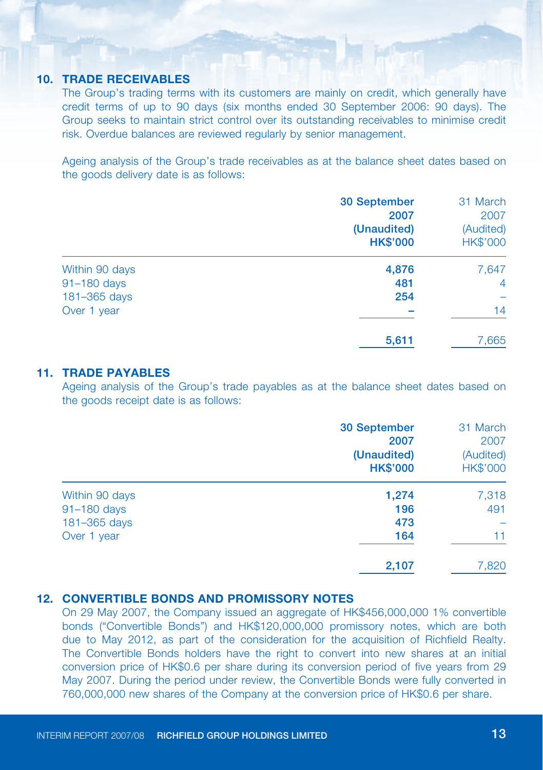#### **10. TRADE RECEIVABLES**

The Group's trading terms with its customers are mainly on credit, which generally have credit terms of up to 90 days (six months ended 30 September 2006: 90 days). The Group seeks to maintain strict control over its outstanding receivables to minimise credit risk. Overdue balances are reviewed regularly by senior management.

Ageing analysis of the Group's trade receivables as at the balance sheet dates based on the goods delivery date is as follows:

|                | 30 September    | 31 March        |
|----------------|-----------------|-----------------|
|                | 2007            | 2007            |
|                | (Unaudited)     | (Audited)       |
|                | <b>HK\$'000</b> | <b>HK\$'000</b> |
| Within 90 days | 4,876           | 7,647           |
| 91-180 days    | 481             | $\overline{4}$  |
| 181-365 days   | 254             |                 |
| Over 1 year    |                 | 14              |
|                | 5,611           | 7,665           |

### **11. TRADE PAYABLES**

Ageing analysis of the Group's trade payables as at the balance sheet dates based on the goods receipt date is as follows:

|                | 30 September<br>2007<br>(Unaudited)<br><b>HK\$'000</b> | 31 March<br>2007<br>(Audited)<br>HK\$'000 |
|----------------|--------------------------------------------------------|-------------------------------------------|
| Within 90 days | 1,274                                                  | 7,318                                     |
| 91-180 days    | 196                                                    | 491                                       |
| 181-365 days   | 473                                                    |                                           |
| Over 1 year    | 164                                                    | 11                                        |
|                | 2,107                                                  | 7,820                                     |

### **12. Convertible bonds and Promissory notes**

On 29 May 2007, the Company issued an aggregate of HK\$456,000,000 1% convertible bonds ("Convertible Bonds") and HK\$120,000,000 promissory notes, which are both due to May 2012, as part of the consideration for the acquisition of Richfield Realty. The Convertible Bonds holders have the right to convert into new shares at an initial conversion price of HK\$0.6 per share during its conversion period of five years from 29 May 2007. During the period under review, the Convertible Bonds were fully converted in 760,000,000 new shares of the Company at the conversion price of HK\$0.6 per share.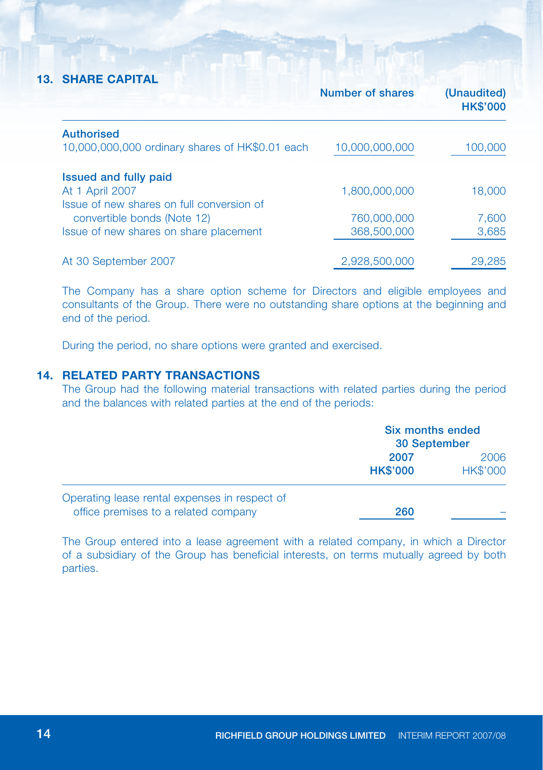### **13. Share Capital**

|                                                 | Number of shares | (Unaudited)<br><b>HK\$'000</b> |
|-------------------------------------------------|------------------|--------------------------------|
| <b>Authorised</b>                               |                  |                                |
| 10,000,000,000 ordinary shares of HK\$0.01 each | 10,000,000,000   | 100,000                        |
| Issued and fully paid                           |                  |                                |
| At 1 April 2007                                 | 1,800,000,000    | 18,000                         |
| Issue of new shares on full conversion of       |                  |                                |
| convertible bonds (Note 12)                     | 760,000,000      | 7,600                          |
| Issue of new shares on share placement          | 368,500,000      | 3,685                          |
| At 30 September 2007                            | 2,928,500,000    | 29,285                         |

The Company has a share option scheme for Directors and eligible employees and consultants of the Group. There were no outstanding share options at the beginning and end of the period.

During the period, no share options were granted and exercised.

### **14. Related party transactions**

The Group had the following material transactions with related parties during the period and the balances with related parties at the end of the periods:

|                                                                                       | Six months ended<br>30 September |                         |
|---------------------------------------------------------------------------------------|----------------------------------|-------------------------|
|                                                                                       | 2007<br><b>HK\$'000</b>          | 2006<br><b>HK\$'000</b> |
| Operating lease rental expenses in respect of<br>office premises to a related company | 260                              |                         |

The Group entered into a lease agreement with a related company, in which a Director of a subsidiary of the Group has beneficial interests, on terms mutually agreed by both parties.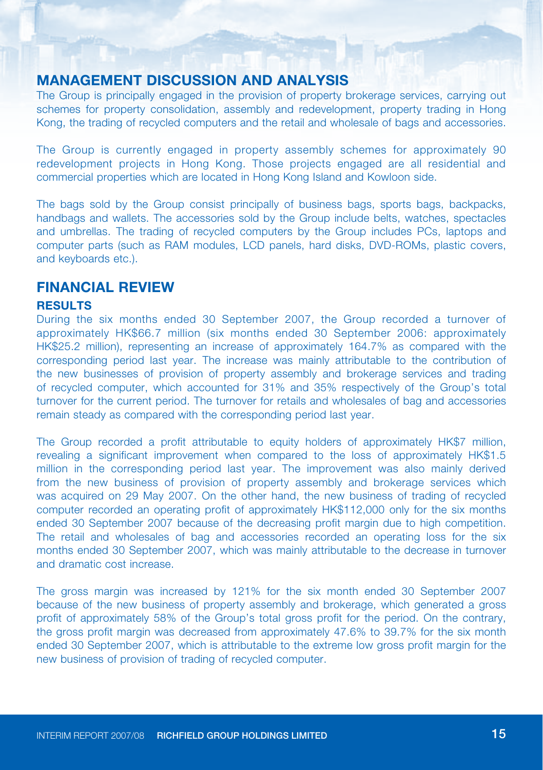## **MANAGEMENT DISCUSSION AND ANALYSIS**

The Group is principally engaged in the provision of property brokerage services, carrying out schemes for property consolidation, assembly and redevelopment, property trading in Hong Kong, the trading of recycled computers and the retail and wholesale of bags and accessories.

The Group is currently engaged in property assembly schemes for approximately 90 redevelopment projects in Hong Kong. Those projects engaged are all residential and commercial properties which are located in Hong Kong Island and Kowloon side.

The bags sold by the Group consist principally of business bags, sports bags, backpacks, handbags and wallets. The accessories sold by the Group include belts, watches, spectacles and umbrellas. The trading of recycled computers by the Group includes PCs, laptops and computer parts (such as RAM modules, LCD panels, hard disks, DVD-ROMs, plastic covers, and keyboards etc.).

## **FINANCIAL REVIEW**

#### **Results**

During the six months ended 30 September 2007, the Group recorded a turnover of approximately HK\$66.7 million (six months ended 30 September 2006: approximately HK\$25.2 million), representing an increase of approximately 164.7% as compared with the corresponding period last year. The increase was mainly attributable to the contribution of the new businesses of provision of property assembly and brokerage services and trading of recycled computer, which accounted for 31% and 35% respectively of the Group's total turnover for the current period. The turnover for retails and wholesales of bag and accessories remain steady as compared with the corresponding period last year.

The Group recorded a profit attributable to equity holders of approximately HK\$7 million, revealing a significant improvement when compared to the loss of approximately HK\$1.5 million in the corresponding period last year. The improvement was also mainly derived from the new business of provision of property assembly and brokerage services which was acquired on 29 May 2007. On the other hand, the new business of trading of recycled computer recorded an operating profit of approximately HK\$112,000 only for the six months ended 30 September 2007 because of the decreasing profit margin due to high competition. The retail and wholesales of bag and accessories recorded an operating loss for the six months ended 30 September 2007, which was mainly attributable to the decrease in turnover and dramatic cost increase.

The gross margin was increased by 121% for the six month ended 30 September 2007 because of the new business of property assembly and brokerage, which generated a gross profit of approximately 58% of the Group's total gross profit for the period. On the contrary, the gross profit margin was decreased from approximately 47.6% to 39.7% for the six month ended 30 September 2007, which is attributable to the extreme low gross profit margin for the new business of provision of trading of recycled computer.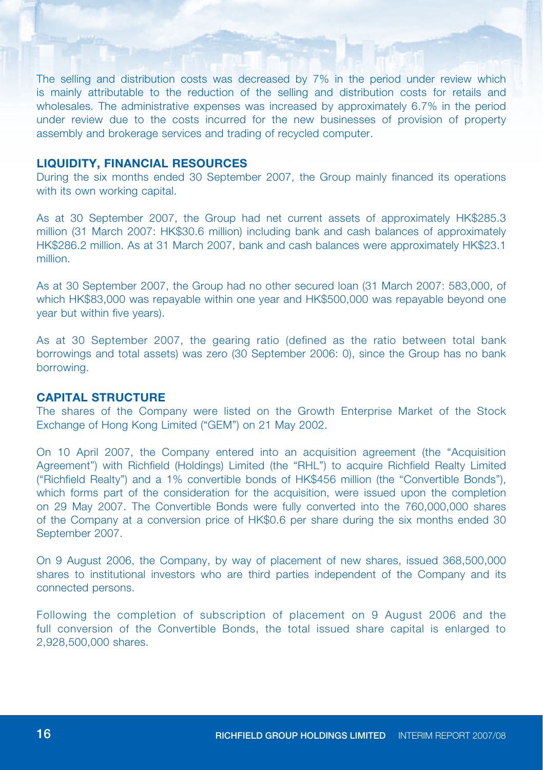The selling and distribution costs was decreased by 7% in the period under review which is mainly attributable to the reduction of the selling and distribution costs for retails and wholesales. The administrative expenses was increased by approximately 6.7% in the period under review due to the costs incurred for the new businesses of provision of property assembly and brokerage services and trading of recycled computer.

#### **Liquidity, financial resources**

During the six months ended 30 September 2007, the Group mainly financed its operations with its own working capital.

As at 30 September 2007, the Group had net current assets of approximately HK\$285.3 million (31 March 2007: HK\$30.6 million) including bank and cash balances of approximately HK\$286.2 million. As at 31 March 2007, bank and cash balances were approximately HK\$23.1 million.

As at 30 September 2007, the Group had no other secured loan (31 March 2007: 583,000, of which HK\$83,000 was repayable within one year and HK\$500,000 was repayable beyond one year but within five years).

As at 30 September 2007, the gearing ratio (defined as the ratio between total bank borrowings and total assets) was zero (30 September 2006: 0), since the Group has no bank borrowing.

#### **Capital structure**

The shares of the Company were listed on the Growth Enterprise Market of the Stock Exchange of Hong Kong Limited ("GEM") on 21 May 2002.

On 10 April 2007, the Company entered into an acquisition agreement (the "Acquisition Agreement") with Richfield (Holdings) Limited (the "RHL") to acquire Richfield Realty Limited ("Richfield Realty") and a 1% convertible bonds of HK\$456 million (the "Convertible Bonds"), which forms part of the consideration for the acquisition, were issued upon the completion on 29 May 2007. The Convertible Bonds were fully converted into the 760,000,000 shares of the Company at a conversion price of HK\$0.6 per share during the six months ended 30 September 2007.

On 9 August 2006, the Company, by way of placement of new shares, issued 368,500,000 shares to institutional investors who are third parties independent of the Company and its connected persons.

Following the completion of subscription of placement on 9 August 2006 and the full conversion of the Convertible Bonds, the total issued share capital is enlarged to 2,928,500,000 shares.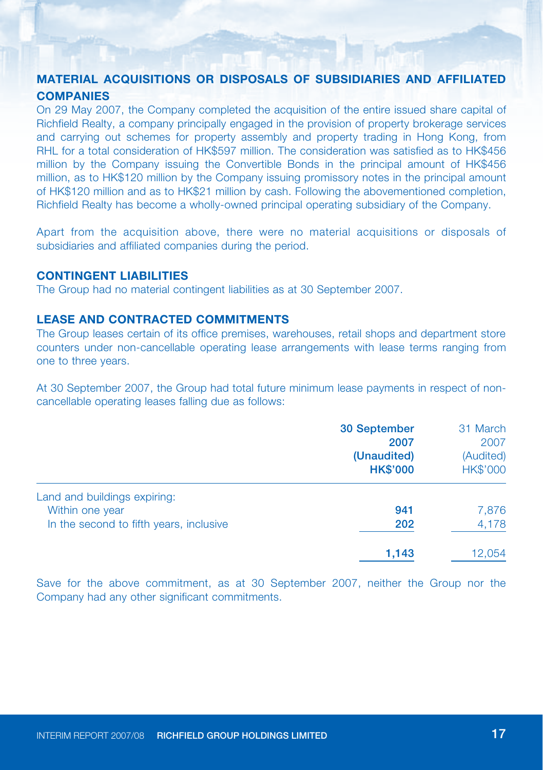#### **Material acquisitions or disposals of subsidiaries and affiliated COMPANIES companies**

On 29 May 2007, the Company completed the acquisition of the entire issued share capital of Richfield Realty, a company principally engaged in the provision of property brokerage services and carrying out schemes for property assembly and property trading in Hong Kong, from RHL for a total consideration of HK\$597 million. The consideration was satisfied as to HK\$456 million by the Company issuing the Convertible Bonds in the principal amount of HK\$456 million, as to HK\$120 million by the Company issuing promissory notes in the principal amount of HK\$120 million and as to HK\$21 million by cash. Following the abovementioned completion, Richfield Realty has become a wholly-owned principal operating subsidiary of the Company.

Apart from the acquisition above, there were no material acquisitions or disposals of subsidiaries and affiliated companies during the period.

#### **Contingent liabilities**

The Group had no material contingent liabilities as at 30 September 2007.

## **Lease and contracted commitments**

The Group leases certain of its office premises, warehouses, retail shops and department store counters under non-cancellable operating lease arrangements with lease terms ranging from one to three years.

At 30 September 2007, the Group had total future minimum lease payments in respect of noncancellable operating leases falling due as follows:

|                                                 | 30 September<br>2007<br>(Unaudited)<br><b>HK\$'000</b> | 31 March<br>2007<br>(Audited)<br><b>HK\$'000</b> |
|-------------------------------------------------|--------------------------------------------------------|--------------------------------------------------|
| Land and buildings expiring:<br>Within one year | 941                                                    | 7,876                                            |
| In the second to fifth years, inclusive         | 202                                                    | 4,178                                            |
|                                                 | 1,143                                                  | 12,054                                           |

Save for the above commitment, as at 30 September 2007, neither the Group nor the Company had any other significant commitments.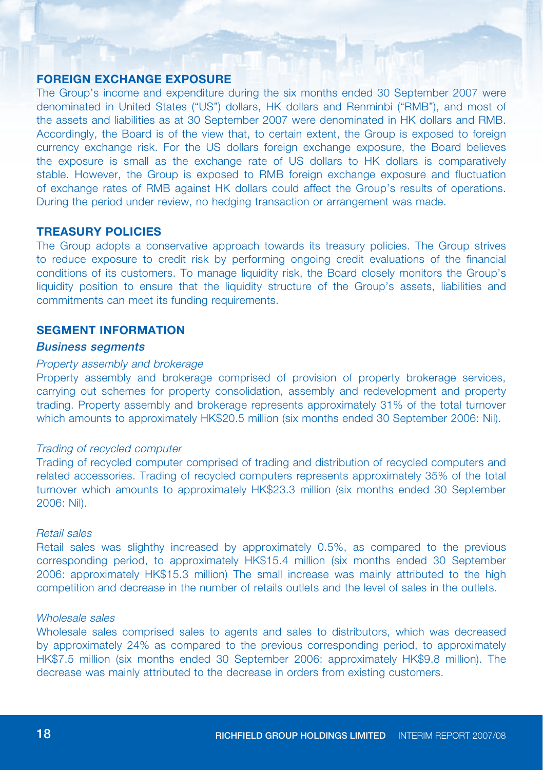#### **Foreign exchange exposure**

The Group's income and expenditure during the six months ended 30 September 2007 were denominated in United States ("US") dollars, HK dollars and Renminbi ("RMB"), and most of the assets and liabilities as at 30 September 2007 were denominated in HK dollars and RMB. Accordingly, the Board is of the view that, to certain extent, the Group is exposed to foreign currency exchange risk. For the US dollars foreign exchange exposure, the Board believes the exposure is small as the exchange rate of US dollars to HK dollars is comparatively stable. However, the Group is exposed to RMB foreign exchange exposure and fluctuation of exchange rates of RMB against HK dollars could affect the Group's results of operations. During the period under review, no hedging transaction or arrangement was made.

#### **Treasury policies**

The Group adopts a conservative approach towards its treasury policies. The Group strives to reduce exposure to credit risk by performing ongoing credit evaluations of the financial conditions of its customers. To manage liquidity risk, the Board closely monitors the Group's liquidity position to ensure that the liquidity structure of the Group's assets, liabilities and commitments can meet its funding requirements.

#### **Segment information**

#### Business segments

#### Property assembly and brokerage

Property assembly and brokerage comprised of provision of property brokerage services, carrying out schemes for property consolidation, assembly and redevelopment and property trading. Property assembly and brokerage represents approximately 31% of the total turnover which amounts to approximately HK\$20.5 million (six months ended 30 September 2006: Nil).

#### Trading of recycled computer

Trading of recycled computer comprised of trading and distribution of recycled computers and related accessories. Trading of recycled computers represents approximately 35% of the total turnover which amounts to approximately HK\$23.3 million (six months ended 30 September 2006: Nil).

#### Retail sales

Retail sales was slighthy increased by approximately 0.5%, as compared to the previous corresponding period, to approximately HK\$15.4 million (six months ended 30 September 2006: approximately HK\$15.3 million) The small increase was mainly attributed to the high competition and decrease in the number of retails outlets and the level of sales in the outlets.

#### Wholesale sales

Wholesale sales comprised sales to agents and sales to distributors, which was decreased by approximately 24% as compared to the previous corresponding period, to approximately HK\$7.5 million (six months ended 30 September 2006: approximately HK\$9.8 million). The decrease was mainly attributed to the decrease in orders from existing customers.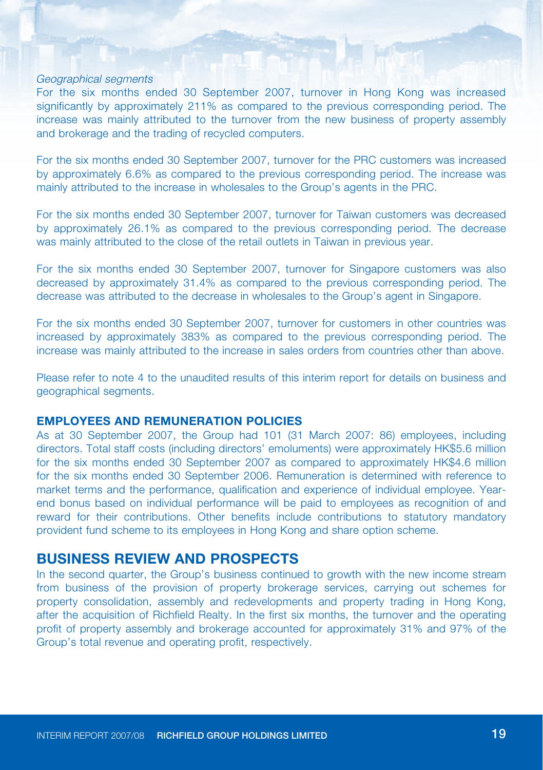#### Geographical segments

For the six months ended 30 September 2007, turnover in Hong Kong was increased significantly by approximately 211% as compared to the previous corresponding period. The increase was mainly attributed to the turnover from the new business of property assembly and brokerage and the trading of recycled computers.

For the six months ended 30 September 2007, turnover for the PRC customers was increased by approximately 6.6% as compared to the previous corresponding period. The increase was mainly attributed to the increase in wholesales to the Group's agents in the PRC.

For the six months ended 30 September 2007, turnover for Taiwan customers was decreased by approximately 26.1% as compared to the previous corresponding period. The decrease was mainly attributed to the close of the retail outlets in Taiwan in previous year.

For the six months ended 30 September 2007, turnover for Singapore customers was also decreased by approximately 31.4% as compared to the previous corresponding period. The decrease was attributed to the decrease in wholesales to the Group's agent in Singapore.

For the six months ended 30 September 2007, turnover for customers in other countries was increased by approximately 383% as compared to the previous corresponding period. The increase was mainly attributed to the increase in sales orders from countries other than above.

Please refer to note 4 to the unaudited results of this interim report for details on business and geographical segments.

#### **Employees and remuneration policies**

As at 30 September 2007, the Group had 101 (31 March 2007: 86) employees, including directors. Total staff costs (including directors' emoluments) were approximately HK\$5.6 million for the six months ended 30 September 2007 as compared to approximately HK\$4.6 million for the six months ended 30 September 2006. Remuneration is determined with reference to market terms and the performance, qualification and experience of individual employee. Yearend bonus based on individual performance will be paid to employees as recognition of and reward for their contributions. Other benefits include contributions to statutory mandatory provident fund scheme to its employees in Hong Kong and share option scheme.

### **BUSINESS REVIEW AND PROSPECTS**

In the second quarter, the Group's business continued to growth with the new income stream from business of the provision of property brokerage services, carrying out schemes for property consolidation, assembly and redevelopments and property trading in Hong Kong, after the acquisition of Richfield Realty. In the first six months, the turnover and the operating profit of property assembly and brokerage accounted for approximately 31% and 97% of the Group's total revenue and operating profit, respectively.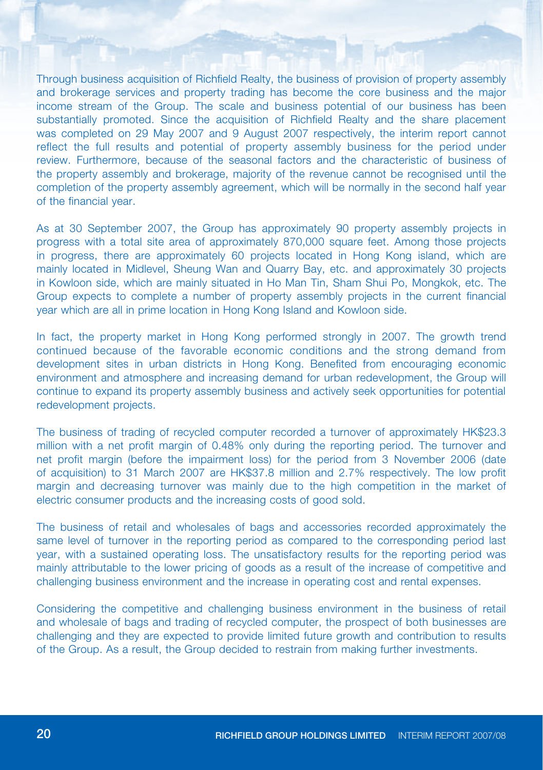Through business acquisition of Richfield Realty, the business of provision of property assembly and brokerage services and property trading has become the core business and the major income stream of the Group. The scale and business potential of our business has been substantially promoted. Since the acquisition of Richfield Realty and the share placement was completed on 29 May 2007 and 9 August 2007 respectively, the interim report cannot reflect the full results and potential of property assembly business for the period under review. Furthermore, because of the seasonal factors and the characteristic of business of the property assembly and brokerage, majority of the revenue cannot be recognised until the completion of the property assembly agreement, which will be normally in the second half year of the financial year.

As at 30 September 2007, the Group has approximately 90 property assembly projects in progress with a total site area of approximately 870,000 square feet. Among those projects in progress, there are approximately 60 projects located in Hong Kong island, which are mainly located in Midlevel, Sheung Wan and Quarry Bay, etc. and approximately 30 projects in Kowloon side, which are mainly situated in Ho Man Tin, Sham Shui Po, Mongkok, etc. The Group expects to complete a number of property assembly projects in the current financial year which are all in prime location in Hong Kong Island and Kowloon side.

In fact, the property market in Hong Kong performed strongly in 2007. The growth trend continued because of the favorable economic conditions and the strong demand from development sites in urban districts in Hong Kong. Benefited from encouraging economic environment and atmosphere and increasing demand for urban redevelopment, the Group will continue to expand its property assembly business and actively seek opportunities for potential redevelopment projects.

The business of trading of recycled computer recorded a turnover of approximately HK\$23.3 million with a net profit margin of 0.48% only during the reporting period. The turnover and net profit margin (before the impairment loss) for the period from 3 November 2006 (date of acquisition) to 31 March 2007 are HK\$37.8 million and 2.7% respectively. The low profit margin and decreasing turnover was mainly due to the high competition in the market of electric consumer products and the increasing costs of good sold.

The business of retail and wholesales of bags and accessories recorded approximately the same level of turnover in the reporting period as compared to the corresponding period last year, with a sustained operating loss. The unsatisfactory results for the reporting period was mainly attributable to the lower pricing of goods as a result of the increase of competitive and challenging business environment and the increase in operating cost and rental expenses.

Considering the competitive and challenging business environment in the business of retail and wholesale of bags and trading of recycled computer, the prospect of both businesses are challenging and they are expected to provide limited future growth and contribution to results of the Group. As a result, the Group decided to restrain from making further investments.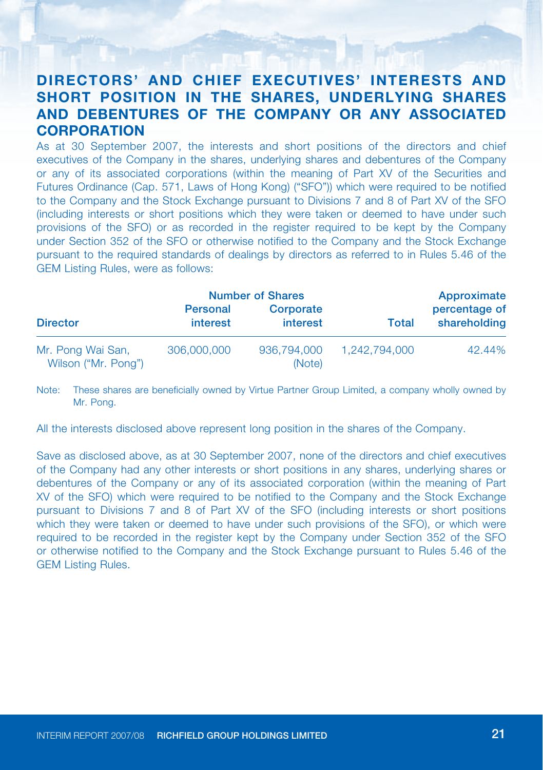## **DIRECTORS' AND CHIEF EXECUTIVES' INTERESTS AND SHORT POSITION IN THE SHARES, UNDERLYING SHARES AND DEBENTURES OF THE COMPANY OR ANY ASSOCIATED CORPORATION**

As at 30 September 2007, the interests and short positions of the directors and chief executives of the Company in the shares, underlying shares and debentures of the Company or any of its associated corporations (within the meaning of Part XV of the Securities and Futures Ordinance (Cap. 571, Laws of Hong Kong) ("SFO")) which were required to be notified to the Company and the Stock Exchange pursuant to Divisions 7 and 8 of Part XV of the SFO (including interests or short positions which they were taken or deemed to have under such provisions of the SFO) or as recorded in the register required to be kept by the Company under Section 352 of the SFO or otherwise notified to the Company and the Stock Exchange pursuant to the required standards of dealings by directors as referred to in Rules 5.46 of the GEM Listing Rules, were as follows:

|                                          | <b>Number of Shares</b> |                       |               | Approximate                   |
|------------------------------------------|-------------------------|-----------------------|---------------|-------------------------------|
| <b>Director</b>                          | Personal<br>interest    | Corporate<br>interest | <b>Total</b>  | percentage of<br>shareholding |
| Mr. Pong Wai San,<br>Wilson ("Mr. Pong") | 306,000,000             | 936,794,000<br>(Note) | 1.242.794.000 | 42.44%                        |

Note: These shares are beneficially owned by Virtue Partner Group Limited, a company wholly owned by Mr. Pong.

All the interests disclosed above represent long position in the shares of the Company.

Save as disclosed above, as at 30 September 2007, none of the directors and chief executives of the Company had any other interests or short positions in any shares, underlying shares or debentures of the Company or any of its associated corporation (within the meaning of Part XV of the SFO) which were required to be notified to the Company and the Stock Exchange pursuant to Divisions 7 and 8 of Part XV of the SFO (including interests or short positions which they were taken or deemed to have under such provisions of the SFO), or which were required to be recorded in the register kept by the Company under Section 352 of the SFO or otherwise notified to the Company and the Stock Exchange pursuant to Rules 5.46 of the GEM Listing Rules.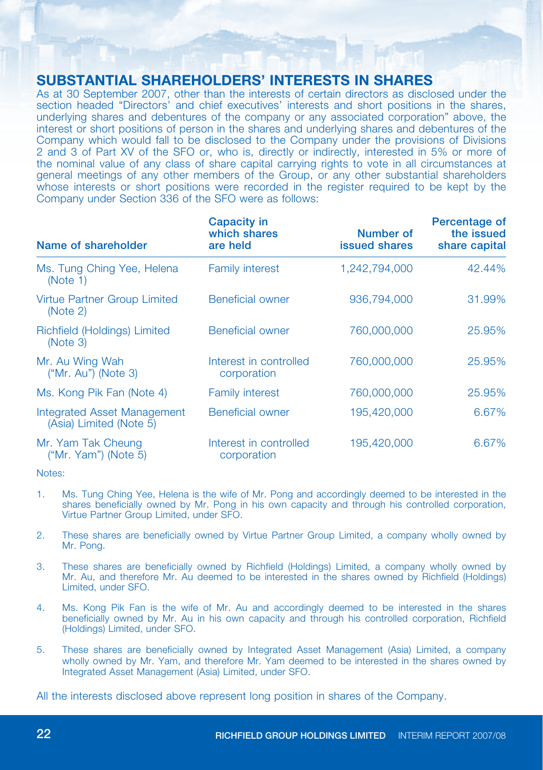## **SUBSTANTIAL SHAREHOLDERS' INTERESTS IN SHARES**

As at 30 September 2007, other than the interests of certain directors as disclosed under the section headed "Directors' and chief executives' interests and short positions in the shares, underlying shares and debentures of the company or any associated corporation" above, the interest or short positions of person in the shares and underlying shares and debentures of the Company which would fall to be disclosed to the Company under the provisions of Divisions 2 and 3 of Part XV of the SFO or, who is, directly or indirectly, interested in 5% or more of the nominal value of any class of share capital carrying rights to vote in all circumstances at general meetings of any other members of the Group, or any other substantial shareholders whose interests or short positions were recorded in the register required to be kept by the Company under Section 336 of the SFO were as follows:

| Name of shareholder                                           | Capacity in<br>which shares<br>are held | Number of<br>issued shares | Percentage of<br>the issued<br>share capital |
|---------------------------------------------------------------|-----------------------------------------|----------------------------|----------------------------------------------|
| Ms. Tung Ching Yee, Helena<br>(Note 1)                        | <b>Family interest</b>                  | 1.242.794.000              | 42.44%                                       |
| Virtue Partner Group Limited<br>(Note 2)                      | <b>Beneficial owner</b>                 | 936,794,000                | 31.99%                                       |
| Richfield (Holdings) Limited<br>(Note 3)                      | <b>Beneficial owner</b>                 | 760,000,000                | 25.95%                                       |
| Mr. Au Wing Wah<br>$("Mr. Au")$ (Note 3)                      | Interest in controlled<br>corporation   | 760,000,000                | 25.95%                                       |
| Ms. Kong Pik Fan (Note 4)                                     | <b>Family interest</b>                  | 760,000,000                | 25.95%                                       |
| <b>Integrated Asset Management</b><br>(Asia) Limited (Note 5) | <b>Beneficial owner</b>                 | 195,420,000                | 6.67%                                        |
| Mr. Yam Tak Cheung<br>("Mr. Yam") (Note 5)                    | Interest in controlled<br>corporation   | 195,420,000                | 6.67%                                        |

Notes:

- 1. Ms. Tung Ching Yee, Helena is the wife of Mr. Pong and accordingly deemed to be interested in the shares beneficially owned by Mr. Pong in his own capacity and through his controlled corporation, Virtue Partner Group Limited, under SFO.
- 2. These shares are beneficially owned by Virtue Partner Group Limited, a company wholly owned by Mr. Pong.
- 3. These shares are beneficially owned by Richfield (Holdings) Limited, a company wholly owned by Mr. Au, and therefore Mr. Au deemed to be interested in the shares owned by Richfield (Holdings) Limited, under SFO.
- 4. Ms. Kong Pik Fan is the wife of Mr. Au and accordingly deemed to be interested in the shares beneficially owned by Mr. Au in his own capacity and through his controlled corporation, Richfield (Holdings) Limited, under SFO.
- 5. These shares are beneficially owned by Integrated Asset Management (Asia) Limited, a company wholly owned by Mr. Yam, and therefore Mr. Yam deemed to be interested in the shares owned by Integrated Asset Management (Asia) Limited, under SFO.

All the interests disclosed above represent long position in shares of the Company.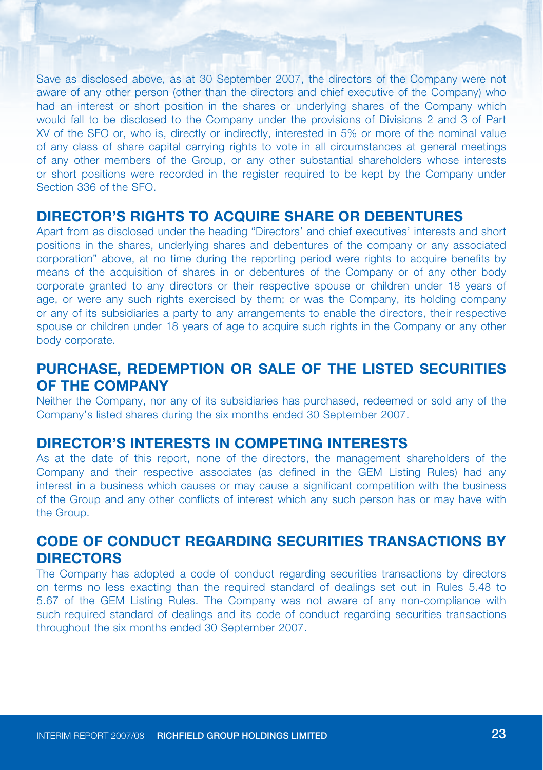Save as disclosed above, as at 30 September 2007, the directors of the Company were not aware of any other person (other than the directors and chief executive of the Company) who had an interest or short position in the shares or underlying shares of the Company which would fall to be disclosed to the Company under the provisions of Divisions 2 and 3 of Part XV of the SFO or, who is, directly or indirectly, interested in 5% or more of the nominal value of any class of share capital carrying rights to vote in all circumstances at general meetings of any other members of the Group, or any other substantial shareholders whose interests or short positions were recorded in the register required to be kept by the Company under Section 336 of the SEO.

## **DIRECTOR'S RIGHTS TO ACQUIRE SHARE OR DEBENTURES**

Apart from as disclosed under the heading "Directors' and chief executives' interests and short positions in the shares, underlying shares and debentures of the company or any associated corporation" above, at no time during the reporting period were rights to acquire benefits by means of the acquisition of shares in or debentures of the Company or of any other body corporate granted to any directors or their respective spouse or children under 18 years of age, or were any such rights exercised by them; or was the Company, its holding company or any of its subsidiaries a party to any arrangements to enable the directors, their respective spouse or children under 18 years of age to acquire such rights in the Company or any other body corporate.

## **PURCHASE, REDEMPTION OR SALE OF THE LISTED SECURITIES OF THE COMPANY**

Neither the Company, nor any of its subsidiaries has purchased, redeemed or sold any of the Company's listed shares during the six months ended 30 September 2007.

## **DIRECTOR'S INTERESTS IN COMPETING INTERESTS**

As at the date of this report, none of the directors, the management shareholders of the Company and their respective associates (as defined in the GEM Listing Rules) had any interest in a business which causes or may cause a significant competition with the business of the Group and any other conflicts of interest which any such person has or may have with the Group.

## **CODE OF CONDUCT REGARDING SECURITIES TRANSACTIONS BY DIRECTORS**

The Company has adopted a code of conduct regarding securities transactions by directors on terms no less exacting than the required standard of dealings set out in Rules 5.48 to 5.67 of the GEM Listing Rules. The Company was not aware of any non-compliance with such required standard of dealings and its code of conduct regarding securities transactions throughout the six months ended 30 September 2007.